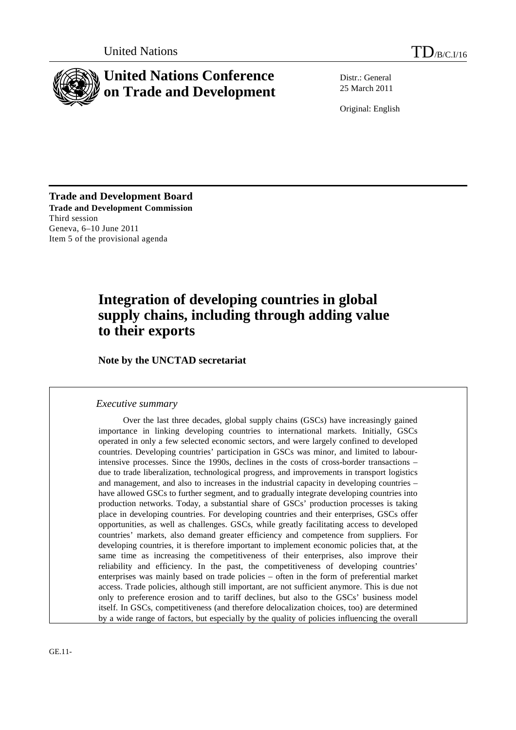

# **United Nations Conference on Trade and Development**

Distr.: General 25 March 2011

Original: English

**Trade and Development Board Trade and Development Commission**  Third session Geneva, 6–10 June 2011 Item 5 of the provisional agenda

# **Integration of developing countries in global supply chains, including through adding value to their exports**

 **Note by the UNCTAD secretariat** 

### *Executive summary*

Over the last three decades, global supply chains (GSCs) have increasingly gained importance in linking developing countries to international markets. Initially, GSCs operated in only a few selected economic sectors, and were largely confined to developed countries. Developing countries' participation in GSCs was minor, and limited to labourintensive processes. Since the 1990s, declines in the costs of cross-border transactions – due to trade liberalization, technological progress, and improvements in transport logistics and management, and also to increases in the industrial capacity in developing countries – have allowed GSCs to further segment, and to gradually integrate developing countries into production networks. Today, a substantial share of GSCs' production processes is taking place in developing countries. For developing countries and their enterprises, GSCs offer opportunities, as well as challenges. GSCs, while greatly facilitating access to developed countries' markets, also demand greater efficiency and competence from suppliers. For developing countries, it is therefore important to implement economic policies that, at the same time as increasing the competitiveness of their enterprises, also improve their reliability and efficiency. In the past, the competitiveness of developing countries' enterprises was mainly based on trade policies – often in the form of preferential market access. Trade policies, although still important, are not sufficient anymore. This is due not only to preference erosion and to tariff declines, but also to the GSCs' business model itself. In GSCs, competitiveness (and therefore delocalization choices, too) are determined by a wide range of factors, but especially by the quality of policies influencing the overall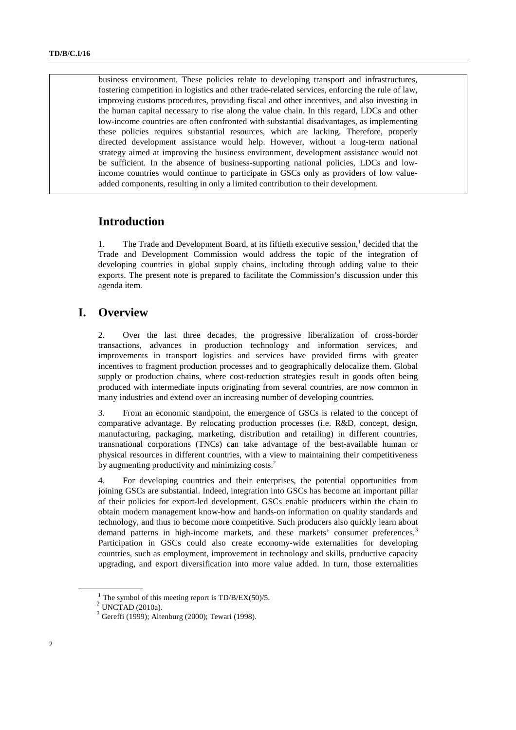business environment. These policies relate to developing transport and infrastructures, fostering competition in logistics and other trade-related services, enforcing the rule of law, improving customs procedures, providing fiscal and other incentives, and also investing in the human capital necessary to rise along the value chain. In this regard, LDCs and other low-income countries are often confronted with substantial disadvantages, as implementing these policies requires substantial resources, which are lacking. Therefore, properly directed development assistance would help. However, without a long-term national strategy aimed at improving the business environment, development assistance would not be sufficient. In the absence of business-supporting national policies, LDCs and lowincome countries would continue to participate in GSCs only as providers of low valueadded components, resulting in only a limited contribution to their development.

### **Introduction**

1. The Trade and Development Board, at its fiftieth executive session,<sup>1</sup> decided that the Trade and Development Commission would address the topic of the integration of developing countries in global supply chains, including through adding value to their exports. The present note is prepared to facilitate the Commission's discussion under this agenda item.

### **I. Overview**

2. Over the last three decades, the progressive liberalization of cross-border transactions, advances in production technology and information services, and improvements in transport logistics and services have provided firms with greater incentives to fragment production processes and to geographically delocalize them. Global supply or production chains, where cost-reduction strategies result in goods often being produced with intermediate inputs originating from several countries, are now common in many industries and extend over an increasing number of developing countries.

3. From an economic standpoint, the emergence of GSCs is related to the concept of comparative advantage. By relocating production processes (i.e. R&D, concept, design, manufacturing, packaging, marketing, distribution and retailing) in different countries, transnational corporations (TNCs) can take advantage of the best-available human or physical resources in different countries, with a view to maintaining their competitiveness by augmenting productivity and minimizing costs. $2$ 

4. For developing countries and their enterprises, the potential opportunities from joining GSCs are substantial. Indeed, integration into GSCs has become an important pillar of their policies for export-led development. GSCs enable producers within the chain to obtain modern management know-how and hands-on information on quality standards and technology, and thus to become more competitive. Such producers also quickly learn about demand patterns in high-income markets, and these markets' consumer preferences.<sup>3</sup> Participation in GSCs could also create economy-wide externalities for developing countries, such as employment, improvement in technology and skills, productive capacity upgrading, and export diversification into more value added. In turn, those externalities

<sup>1</sup> <sup>1</sup> The symbol of this meeting report is TD/B/EX(50)/5.<br><sup>2</sup> UNCTAD (2010a).

 $3$  Gereffi (1999); Altenburg (2000); Tewari (1998).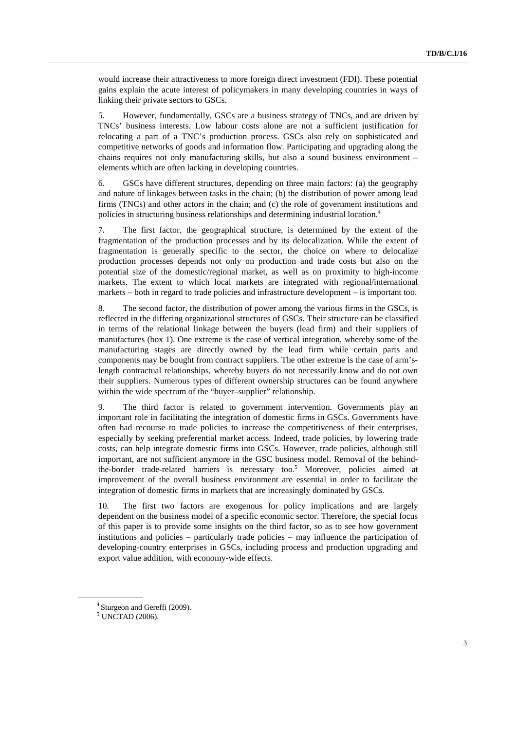would increase their attractiveness to more foreign direct investment (FDI). These potential gains explain the acute interest of policymakers in many developing countries in ways of linking their private sectors to GSCs.

5. However, fundamentally, GSCs are a business strategy of TNCs, and are driven by TNCs' business interests. Low labour costs alone are not a sufficient justification for relocating a part of a TNC's production process. GSCs also rely on sophisticated and competitive networks of goods and information flow. Participating and upgrading along the chains requires not only manufacturing skills, but also a sound business environment – elements which are often lacking in developing countries.

6. GSCs have different structures, depending on three main factors: (a) the geography and nature of linkages between tasks in the chain; (b) the distribution of power among lead firms (TNCs) and other actors in the chain; and (c) the role of government institutions and policies in structuring business relationships and determining industrial location.4

7. The first factor, the geographical structure, is determined by the extent of the fragmentation of the production processes and by its delocalization. While the extent of fragmentation is generally specific to the sector, the choice on where to delocalize production processes depends not only on production and trade costs but also on the potential size of the domestic/regional market, as well as on proximity to high-income markets. The extent to which local markets are integrated with regional/international markets – both in regard to trade policies and infrastructure development – is important too.

8. The second factor, the distribution of power among the various firms in the GSCs, is reflected in the differing organizational structures of GSCs. Their structure can be classified in terms of the relational linkage between the buyers (lead firm) and their suppliers of manufactures (box 1). One extreme is the case of vertical integration, whereby some of the manufacturing stages are directly owned by the lead firm while certain parts and components may be bought from contract suppliers. The other extreme is the case of arm'slength contractual relationships, whereby buyers do not necessarily know and do not own their suppliers. Numerous types of different ownership structures can be found anywhere within the wide spectrum of the "buyer-supplier" relationship.

9. The third factor is related to government intervention. Governments play an important role in facilitating the integration of domestic firms in GSCs. Governments have often had recourse to trade policies to increase the competitiveness of their enterprises, especially by seeking preferential market access. Indeed, trade policies, by lowering trade costs, can help integrate domestic firms into GSCs. However, trade policies, although still important, are not sufficient anymore in the GSC business model. Removal of the behindthe-border trade-related barriers is necessary too.<sup>5</sup> Moreover, policies aimed at improvement of the overall business environment are essential in order to facilitate the integration of domestic firms in markets that are increasingly dominated by GSCs.

10. The first two factors are exogenous for policy implications and are largely dependent on the business model of a specific economic sector. Therefore, the special focus of this paper is to provide some insights on the third factor, so as to see how government institutions and policies – particularly trade policies – may influence the participation of developing-country enterprises in GSCs, including process and production upgrading and export value addition, with economy-wide effects.

<sup>4</sup> Sturgeon and Gereffi (2009).

 $<sup>5</sup>$  UNCTAD (2006).</sup>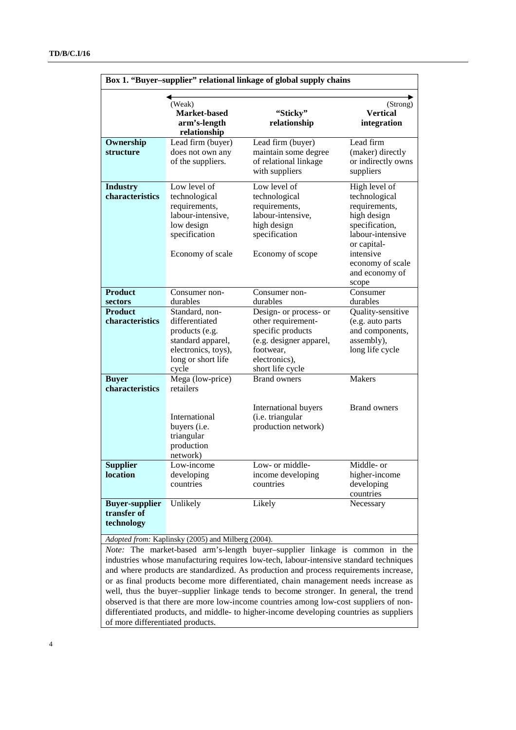| Box 1. "Buyer-supplier" relational linkage of global supply chains          |                                                               |                                                                 |                                                     |  |  |
|-----------------------------------------------------------------------------|---------------------------------------------------------------|-----------------------------------------------------------------|-----------------------------------------------------|--|--|
|                                                                             | (Weak)<br><b>Market-based</b><br>arm's-length<br>relationship | "Sticky"<br>relationship                                        | (Strong)<br><b>Vertical</b><br>integration          |  |  |
| Ownership                                                                   | Lead firm (buyer)                                             | Lead firm (buyer)                                               | Lead firm                                           |  |  |
| structure                                                                   | does not own any<br>of the suppliers.                         | maintain some degree<br>of relational linkage<br>with suppliers | (maker) directly<br>or indirectly owns<br>suppliers |  |  |
| <b>Industry</b>                                                             | Low level of                                                  | Low level of                                                    | High level of                                       |  |  |
| characteristics                                                             | technological                                                 | technological                                                   | technological                                       |  |  |
|                                                                             | requirements,<br>labour-intensive,                            | requirements,<br>labour-intensive,                              | requirements,<br>high design                        |  |  |
|                                                                             | low design                                                    | high design                                                     | specification,                                      |  |  |
|                                                                             | specification                                                 | specification                                                   | labour-intensive                                    |  |  |
|                                                                             |                                                               |                                                                 | or capital-                                         |  |  |
|                                                                             | Economy of scale                                              | Economy of scope                                                | intensive                                           |  |  |
|                                                                             |                                                               |                                                                 | economy of scale                                    |  |  |
|                                                                             |                                                               |                                                                 | and economy of                                      |  |  |
| <b>Product</b>                                                              | Consumer non-                                                 | Consumer non-                                                   | scope<br>Consumer                                   |  |  |
| sectors                                                                     | durables                                                      | durables                                                        | durables                                            |  |  |
| <b>Product</b>                                                              | Standard, non-                                                | Design- or process- or                                          | Quality-sensitive                                   |  |  |
| characteristics                                                             | differentiated                                                | other requirement-                                              | (e.g. auto parts                                    |  |  |
|                                                                             | products (e.g.                                                | specific products                                               | and components,                                     |  |  |
|                                                                             | standard apparel,                                             | (e.g. designer apparel,                                         | assembly),                                          |  |  |
|                                                                             | electronics, toys),                                           | footwear,                                                       | long life cycle                                     |  |  |
|                                                                             | long or short life                                            | electronics),                                                   |                                                     |  |  |
| <b>Buyer</b>                                                                | cycle<br>Mega (low-price)                                     | short life cycle<br><b>Brand owners</b>                         | <b>Makers</b>                                       |  |  |
| characteristics                                                             | retailers                                                     |                                                                 |                                                     |  |  |
|                                                                             |                                                               |                                                                 |                                                     |  |  |
|                                                                             | International                                                 | <b>International buyers</b><br>(i.e. triangular                 | <b>Brand owners</b>                                 |  |  |
|                                                                             | buyers (i.e.                                                  | production network)                                             |                                                     |  |  |
|                                                                             | triangular                                                    |                                                                 |                                                     |  |  |
|                                                                             | production                                                    |                                                                 |                                                     |  |  |
|                                                                             | network)                                                      |                                                                 |                                                     |  |  |
| <b>Supplier</b>                                                             | Low-income                                                    | Low- or middle-                                                 | Middle- or                                          |  |  |
| location                                                                    | developing                                                    | income developing                                               | higher-income                                       |  |  |
|                                                                             | countries                                                     | countries                                                       | developing<br>countries                             |  |  |
| <b>Buyer-supplier</b>                                                       | Unlikely                                                      | Likely                                                          | Necessary                                           |  |  |
| transfer of                                                                 |                                                               |                                                                 |                                                     |  |  |
| technology                                                                  |                                                               |                                                                 |                                                     |  |  |
|                                                                             | Adopted from: Kaplinsky (2005) and Milberg (2004).            |                                                                 |                                                     |  |  |
| Note: The market-based arm's-length buyer-supplier linkage is common in the |                                                               |                                                                 |                                                     |  |  |

industries whose manufacturing requires low-tech, labour-intensive standard techniques and where products are standardized. As production and process requirements increase, or as final products become more differentiated, chain management needs increase as well, thus the buyer–supplier linkage tends to become stronger. In general, the trend observed is that there are more low-income countries among low-cost suppliers of nondifferentiated products, and middle- to higher-income developing countries as suppliers of more differentiated products.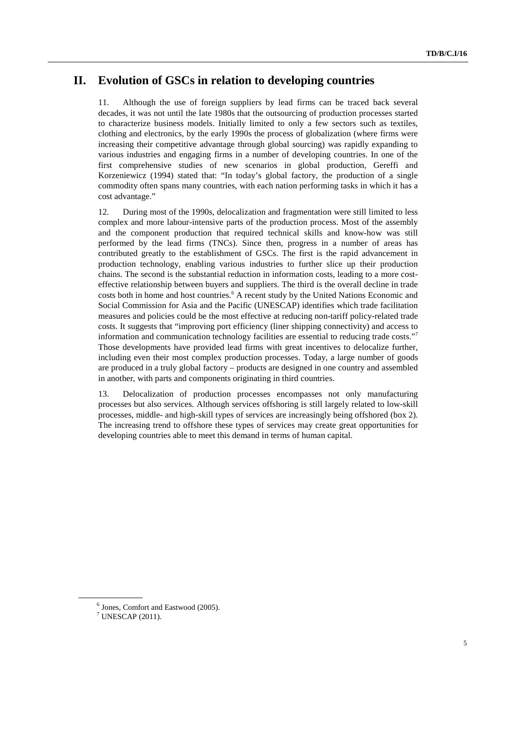## **II. Evolution of GSCs in relation to developing countries**

11. Although the use of foreign suppliers by lead firms can be traced back several decades, it was not until the late 1980s that the outsourcing of production processes started to characterize business models. Initially limited to only a few sectors such as textiles, clothing and electronics, by the early 1990s the process of globalization (where firms were increasing their competitive advantage through global sourcing) was rapidly expanding to various industries and engaging firms in a number of developing countries. In one of the first comprehensive studies of new scenarios in global production, Gereffi and Korzeniewicz (1994) stated that: "In today's global factory, the production of a single commodity often spans many countries, with each nation performing tasks in which it has a cost advantage."

12. During most of the 1990s, delocalization and fragmentation were still limited to less complex and more labour-intensive parts of the production process. Most of the assembly and the component production that required technical skills and know-how was still performed by the lead firms (TNCs). Since then, progress in a number of areas has contributed greatly to the establishment of GSCs. The first is the rapid advancement in production technology, enabling various industries to further slice up their production chains. The second is the substantial reduction in information costs, leading to a more costeffective relationship between buyers and suppliers. The third is the overall decline in trade costs both in home and host countries.<sup>6</sup> A recent study by the United Nations Economic and Social Commission for Asia and the Pacific (UNESCAP) identifies which trade facilitation measures and policies could be the most effective at reducing non-tariff policy-related trade costs. It suggests that "improving port efficiency (liner shipping connectivity) and access to information and communication technology facilities are essential to reducing trade costs."7 Those developments have provided lead firms with great incentives to delocalize further, including even their most complex production processes. Today, a large number of goods are produced in a truly global factory – products are designed in one country and assembled in another, with parts and components originating in third countries.

13. Delocalization of production processes encompasses not only manufacturing processes but also services. Although services offshoring is still largely related to low-skill processes, middle- and high-skill types of services are increasingly being offshored (box 2). The increasing trend to offshore these types of services may create great opportunities for developing countries able to meet this demand in terms of human capital.

<sup>6</sup> Jones, Comfort and Eastwood (2005).

 $7$  UNESCAP (2011).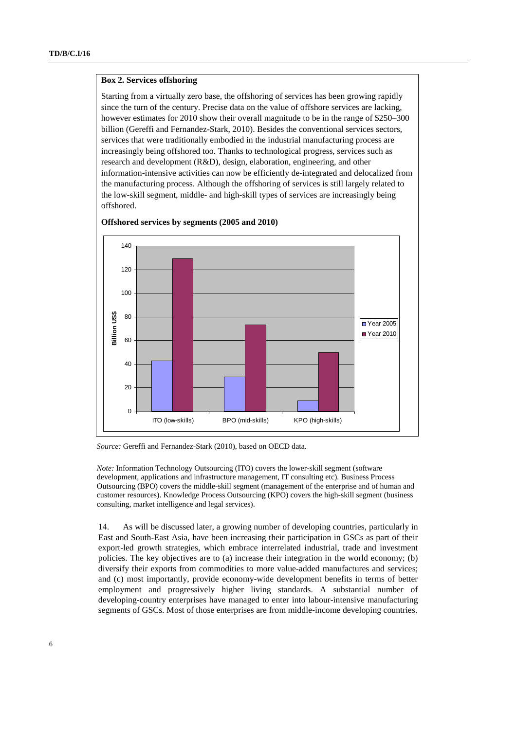#### **Box 2. Services offshoring**

Starting from a virtually zero base, the offshoring of services has been growing rapidly since the turn of the century. Precise data on the value of offshore services are lacking, however estimates for 2010 show their overall magnitude to be in the range of \$250–300 billion (Gereffi and Fernandez-Stark, 2010). Besides the conventional services sectors, services that were traditionally embodied in the industrial manufacturing process are increasingly being offshored too. Thanks to technological progress, services such as research and development (R&D), design, elaboration, engineering, and other information-intensive activities can now be efficiently de-integrated and delocalized from the manufacturing process. Although the offshoring of services is still largely related to the low-skill segment, middle- and high-skill types of services are increasingly being offshored.



#### **Offshored services by segments (2005 and 2010)**

*Note:* Information Technology Outsourcing (ITO) covers the lower-skill segment (software development, applications and infrastructure management, IT consulting etc). Business Process Outsourcing (BPO) covers the middle-skill segment (management of the enterprise and of human and customer resources). Knowledge Process Outsourcing (KPO) covers the high-skill segment (business consulting, market intelligence and legal services).

14. As will be discussed later, a growing number of developing countries, particularly in East and South-East Asia, have been increasing their participation in GSCs as part of their export-led growth strategies, which embrace interrelated industrial, trade and investment policies. The key objectives are to (a) increase their integration in the world economy; (b) diversify their exports from commodities to more value-added manufactures and services; and (c) most importantly, provide economy-wide development benefits in terms of better employment and progressively higher living standards. A substantial number of developing-country enterprises have managed to enter into labour-intensive manufacturing segments of GSCs. Most of those enterprises are from middle-income developing countries.

*Source:* Gereffi and Fernandez-Stark (2010), based on OECD data.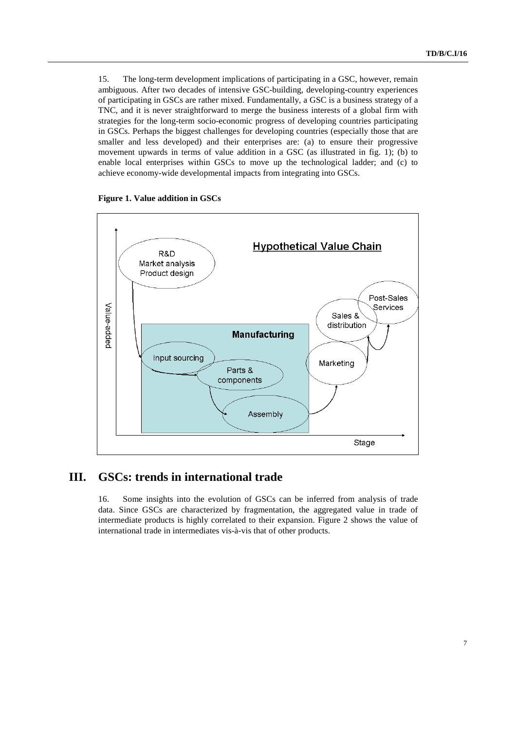15. The long-term development implications of participating in a GSC, however, remain ambiguous. After two decades of intensive GSC-building, developing-country experiences of participating in GSCs are rather mixed. Fundamentally, a GSC is a business strategy of a TNC, and it is never straightforward to merge the business interests of a global firm with strategies for the long-term socio-economic progress of developing countries participating in GSCs. Perhaps the biggest challenges for developing countries (especially those that are smaller and less developed) and their enterprises are: (a) to ensure their progressive movement upwards in terms of value addition in a GSC (as illustrated in fig. 1); (b) to enable local enterprises within GSCs to move up the technological ladder; and (c) to achieve economy-wide developmental impacts from integrating into GSCs.





## **III. GSCs: trends in international trade**

16. Some insights into the evolution of GSCs can be inferred from analysis of trade data. Since GSCs are characterized by fragmentation, the aggregated value in trade of intermediate products is highly correlated to their expansion. Figure 2 shows the value of international trade in intermediates vis-à-vis that of other products.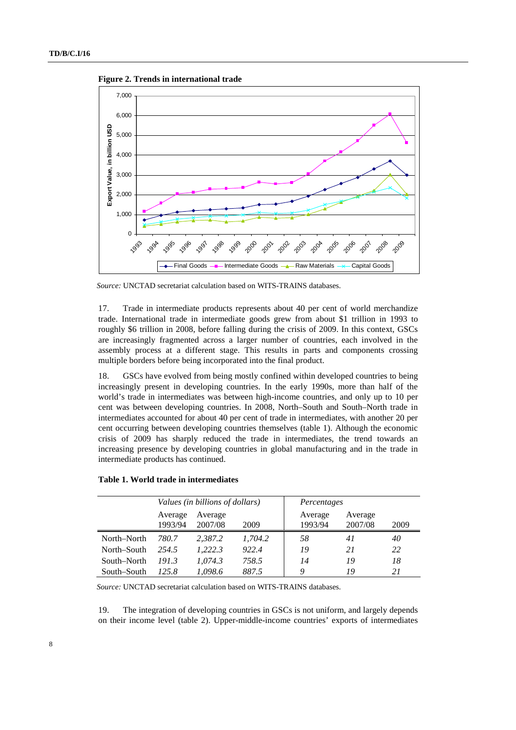**Figure 2. Trends in international trade** 



*Source:* UNCTAD secretariat calculation based on WITS-TRAINS databases.

17. Trade in intermediate products represents about 40 per cent of world merchandize trade. International trade in intermediate goods grew from about \$1 trillion in 1993 to roughly \$6 trillion in 2008, before falling during the crisis of 2009. In this context, GSCs are increasingly fragmented across a larger number of countries, each involved in the assembly process at a different stage. This results in parts and components crossing multiple borders before being incorporated into the final product.

18. GSCs have evolved from being mostly confined within developed countries to being increasingly present in developing countries. In the early 1990s, more than half of the world's trade in intermediates was between high-income countries, and only up to 10 per cent was between developing countries. In 2008, North–South and South–North trade in intermediates accounted for about 40 per cent of trade in intermediates, with another 20 per cent occurring between developing countries themselves (table 1). Although the economic crisis of 2009 has sharply reduced the trade in intermediates, the trend towards an increasing presence by developing countries in global manufacturing and in the trade in intermediate products has continued.

| Values (in hillions of dollars) |  |
|---------------------------------|--|

**Table 1. World trade in intermediates** 

|             | Values (in billions of dollars) |                    |         |                    | Percentages        |      |  |  |
|-------------|---------------------------------|--------------------|---------|--------------------|--------------------|------|--|--|
|             | Average<br>1993/94              | Average<br>2007/08 | 2009    | Average<br>1993/94 | Average<br>2007/08 | 2009 |  |  |
| North–North | 780.7                           | 2.387.2            | 1,704.2 | 58                 | 41                 | 40   |  |  |
| North–South | 2.54.5                          | 1,222.3            | 922.4   | 19                 | 21                 | 22   |  |  |
| South–North | 191.3                           | 1.074.3            | 758.5   | 14                 | 19                 | 18   |  |  |
| South–South | 125.8                           | 1,098.6            | 887.5   | Q                  | 19                 | 21   |  |  |

*Source:* UNCTAD secretariat calculation based on WITS-TRAINS databases.

19. The integration of developing countries in GSCs is not uniform, and largely depends on their income level (table 2). Upper-middle-income countries' exports of intermediates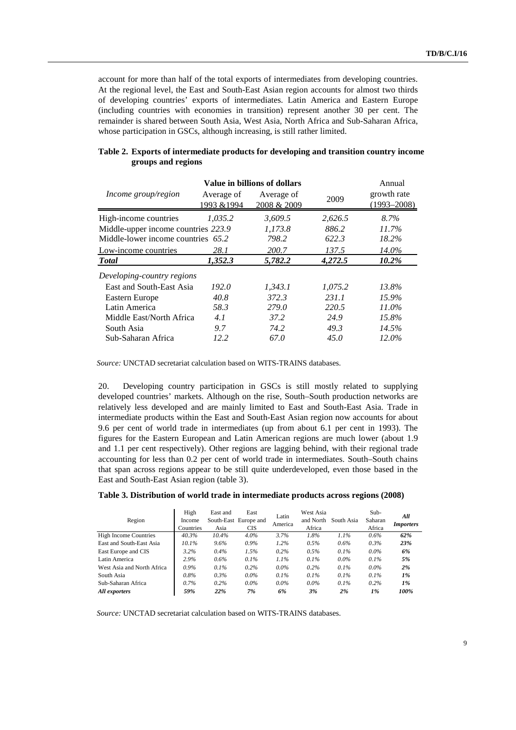account for more than half of the total exports of intermediates from developing countries. At the regional level, the East and South-East Asian region accounts for almost two thirds of developing countries' exports of intermediates. Latin America and Eastern Europe (including countries with economies in transition) represent another 30 per cent. The remainder is shared between South Asia, West Asia, North Africa and Sub-Saharan Africa, whose participation in GSCs, although increasing, is still rather limited.

|                                     |                           | Value in billions of dollars |         | Annual                         |
|-------------------------------------|---------------------------|------------------------------|---------|--------------------------------|
| Income group/region                 | Average of<br>1993 & 1994 | Average of<br>2008 & 2009    | 2009    | growth rate<br>$(1993 - 2008)$ |
| High-income countries               | 1.035.2                   | 3.609.5                      | 2,626.5 | 8.7%                           |
| Middle-upper income countries 223.9 |                           | 1,173.8                      | 886.2   | 11.7%                          |
| Middle-lower income countries 65.2  |                           | 798.2                        | 622.3   | 18.2%                          |
| Low-income countries                | 28.1                      | 200.7                        | 137.5   | 14.0%                          |
| <b>T</b> otal                       | 1,352.3                   | 5,782.2                      | 4,272.5 | 10.2%                          |
| Developing-country regions          |                           |                              |         |                                |
| East and South-East Asia            | 192.0                     | 1,343.1                      | 1,075.2 | 13.8%                          |
| Eastern Europe                      | 40.8                      | 372.3                        | 231.1   | 15.9%                          |
| Latin America                       | 58.3                      | 279.0                        | 220.5   | 11.0%                          |
| Middle East/North Africa            | 4.1                       | 37.2                         | 24.9    | 15.8%                          |
| South Asia                          | 9.7                       | 74.2                         | 49.3    | 14.5%                          |
| Sub-Saharan Africa                  | 12.2                      | 67.0                         | 45.0    | $12.0\%$                       |

#### **Table 2. Exports of intermediate products for developing and transition country income groups and regions**

*Source:* UNCTAD secretariat calculation based on WITS-TRAINS databases.

20. Developing country participation in GSCs is still mostly related to supplying developed countries' markets. Although on the rise, South–South production networks are relatively less developed and are mainly limited to East and South-East Asia. Trade in intermediate products within the East and South-East Asian region now accounts for about 9.6 per cent of world trade in intermediates (up from about 6.1 per cent in 1993). The figures for the Eastern European and Latin American regions are much lower (about 1.9 and 1.1 per cent respectively). Other regions are lagging behind, with their regional trade accounting for less than 0.2 per cent of world trade in intermediates. South–South chains that span across regions appear to be still quite underdeveloped, even those based in the East and South-East Asian region (table 3).

|  |  | Table 3. Distribution of world trade in intermediate products across regions (2008) |  |
|--|--|-------------------------------------------------------------------------------------|--|
|  |  |                                                                                     |  |

| Region                       | High<br>Income<br>Countries | East and<br>Asia | East<br>South-East Europe and<br><b>CIS</b> | Latin<br>America | West Asia<br>and North<br>Africa | South Asia | $Sub-$<br>Saharan<br>Africa | All<br><b>Importers</b> |
|------------------------------|-----------------------------|------------------|---------------------------------------------|------------------|----------------------------------|------------|-----------------------------|-------------------------|
| <b>High Income Countries</b> | 40.3%                       | $10.4\%$         | 4.0%                                        | 3.7%             | 1.8%                             | $1.1\%$    | 0.6%                        | 62%                     |
| East and South-East Asia     | 10.1%                       | $9.6\%$          | $0.9\%$                                     | 1.2%             | $0.5\%$                          | $0.6\%$    | $0.3\%$                     | 23%                     |
| East Europe and CIS          | $3.2\%$                     | $0.4\%$          | 1.5%                                        | $0.2\%$          | 0.5%                             | $0.1\%$    | $0.0\%$                     | 6%                      |
| Latin America                | 2.9%                        | 0.6%             | 0.1%                                        | $1.1\%$          | 0.1%                             | $0.0\%$    | $0.1\%$                     | 5%                      |
| West Asia and North Africa   | $0.9\%$                     | $0.1\%$          | $0.2\%$                                     | $0.0\%$          | $0.2\%$                          | 0.1%       | $0.0\%$                     | 2%                      |
| South Asia                   | 0.8%                        | $0.3\%$          | $0.0\%$                                     | $0.1\%$          | 0.1%                             | 0.1%       | 0.1%                        | 1%                      |
| Sub-Saharan Africa           | $0.7\%$                     | 0.2%             | $0.0\%$                                     | $0.0\%$          | $0.0\%$                          | 0.1%       | 0.2%                        | 1%                      |
| All exporters                | 59%                         | 22%              | 7%                                          | 6%               | 3%                               | 2%         | 1%                          | 100%                    |

*Source:* UNCTAD secretariat calculation based on WITS-TRAINS databases.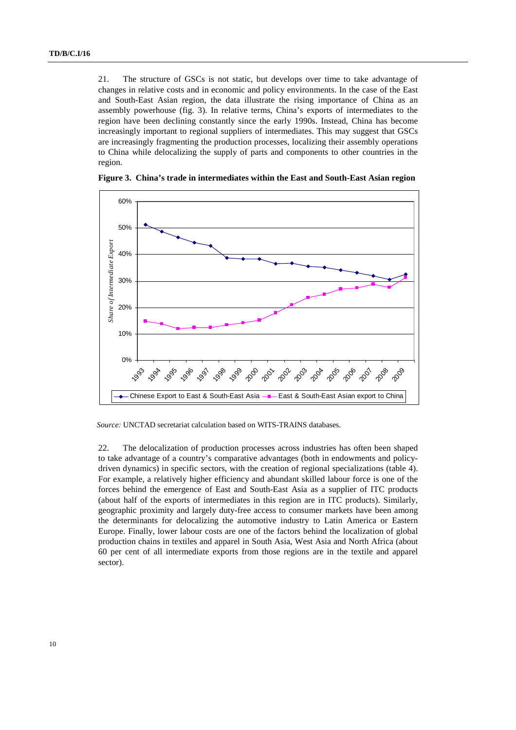21. The structure of GSCs is not static, but develops over time to take advantage of changes in relative costs and in economic and policy environments. In the case of the East and South-East Asian region, the data illustrate the rising importance of China as an assembly powerhouse (fig. 3). In relative terms, China's exports of intermediates to the region have been declining constantly since the early 1990s. Instead, China has become increasingly important to regional suppliers of intermediates. This may suggest that GSCs are increasingly fragmenting the production processes, localizing their assembly operations to China while delocalizing the supply of parts and components to other countries in the region.



**Figure 3. China's trade in intermediates within the East and South-East Asian region** 

*Source:* UNCTAD secretariat calculation based on WITS-TRAINS databases.

22. The delocalization of production processes across industries has often been shaped to take advantage of a country's comparative advantages (both in endowments and policydriven dynamics) in specific sectors, with the creation of regional specializations (table 4). For example, a relatively higher efficiency and abundant skilled labour force is one of the forces behind the emergence of East and South-East Asia as a supplier of ITC products (about half of the exports of intermediates in this region are in ITC products). Similarly, geographic proximity and largely duty-free access to consumer markets have been among the determinants for delocalizing the automotive industry to Latin America or Eastern Europe. Finally, lower labour costs are one of the factors behind the localization of global production chains in textiles and apparel in South Asia, West Asia and North Africa (about 60 per cent of all intermediate exports from those regions are in the textile and apparel sector).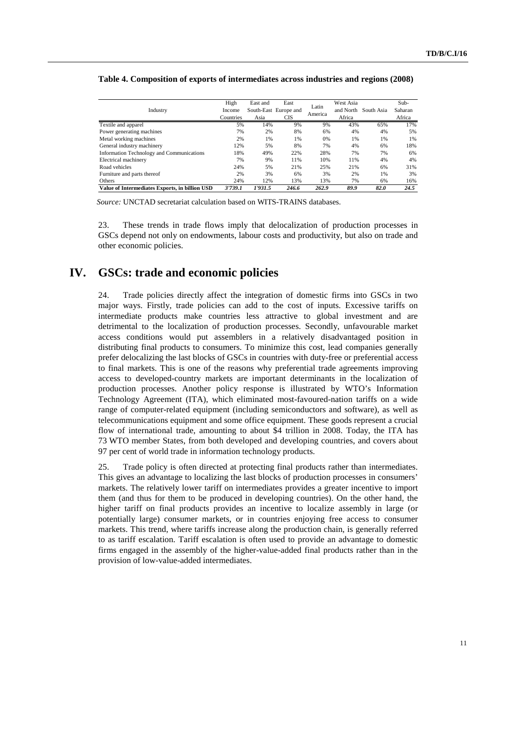#### **Table 4. Composition of exports of intermediates across industries and regions (2008)**

|                                                | High      | East and | East                  |         | West Asia |            | $Sub-$  |
|------------------------------------------------|-----------|----------|-----------------------|---------|-----------|------------|---------|
| Industry                                       | Income    |          | South-East Europe and | Latin   | and North | South Asia | Saharan |
|                                                | Countries | Asia     | CIS                   | America | Africa    |            | Africa  |
| Textile and apparel                            | 5%        | 14%      | 9%                    | 9%      | 43%       | 65%        | 17%     |
| Power generating machines                      | 7%        | 2%       | 8%                    | 6%      | 4%        | 4%         | 5%      |
| Metal working machines                         | 2%        | 1%       | 1%                    | 0%      | 1%        | 1%         | 1%      |
| General industry machinery                     | 12%       | 5%       | 8%                    | 7%      | 4%        | 6%         | 18%     |
| Information Technology and Communications      | 18%       | 49%      | 22%                   | 28%     | 7%        | 7%         | 6%      |
| Electrical machinery                           | 7%        | 9%       | 11%                   | 10%     | 11%       | 4%         | 4%      |
| Road vehicles                                  | 24%       | 5%       | 21%                   | 25%     | 21%       | 6%         | 31%     |
| Furniture and parts thereof                    | 2%        | 3%       | 6%                    | 3%      | 2%        | 1%         | 3%      |
| Others                                         | 24%       | 12%      | 13%                   | 13%     | 7%        | 6%         | 16%     |
| Value of Intermediates Exports, in billion USD | 3'739.1   | 1'931.5  | 246.6                 | 262.9   | 89.9      | 82.0       | 24.5    |

*Source:* UNCTAD secretariat calculation based on WITS-TRAINS databases.

23. These trends in trade flows imply that delocalization of production processes in GSCs depend not only on endowments, labour costs and productivity, but also on trade and other economic policies.

### **IV. GSCs: trade and economic policies**

24. Trade policies directly affect the integration of domestic firms into GSCs in two major ways. Firstly, trade policies can add to the cost of inputs. Excessive tariffs on intermediate products make countries less attractive to global investment and are detrimental to the localization of production processes. Secondly, unfavourable market access conditions would put assemblers in a relatively disadvantaged position in distributing final products to consumers. To minimize this cost, lead companies generally prefer delocalizing the last blocks of GSCs in countries with duty-free or preferential access to final markets. This is one of the reasons why preferential trade agreements improving access to developed-country markets are important determinants in the localization of production processes. Another policy response is illustrated by WTO's Information Technology Agreement (ITA), which eliminated most-favoured-nation tariffs on a wide range of computer-related equipment (including semiconductors and software), as well as telecommunications equipment and some office equipment. These goods represent a crucial flow of international trade, amounting to about \$4 trillion in 2008. Today, the ITA has 73 WTO member States, from both developed and developing countries, and covers about 97 per cent of world trade in information technology products.

25. Trade policy is often directed at protecting final products rather than intermediates. This gives an advantage to localizing the last blocks of production processes in consumers' markets. The relatively lower tariff on intermediates provides a greater incentive to import them (and thus for them to be produced in developing countries). On the other hand, the higher tariff on final products provides an incentive to localize assembly in large (or potentially large) consumer markets, or in countries enjoying free access to consumer markets. This trend, where tariffs increase along the production chain, is generally referred to as tariff escalation. Tariff escalation is often used to provide an advantage to domestic firms engaged in the assembly of the higher-value-added final products rather than in the provision of low-value-added intermediates.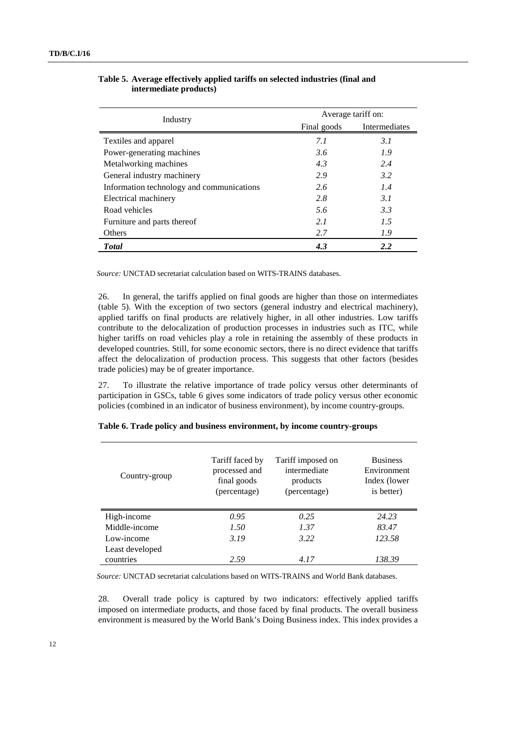| Industry                                  | Average tariff on: |               |  |  |
|-------------------------------------------|--------------------|---------------|--|--|
|                                           | Final goods        | Intermediates |  |  |
| Textiles and apparel                      | 7.1                | 3.1           |  |  |
| Power-generating machines                 | 3.6                | 1.9           |  |  |
| Metalworking machines                     | 4.3                | 2.4           |  |  |
| General industry machinery                | 2.9                | 3.2           |  |  |
| Information technology and communications | 2.6                | 1.4           |  |  |
| Electrical machinery                      | 2.8                | 3. I          |  |  |
| Road vehicles                             | 5.6                | 3.3           |  |  |
| Furniture and parts thereof               | 2.1                | 1.5           |  |  |
| Others                                    | 2.7                | 1.9           |  |  |
| <b>T</b> otal                             | 4.3                | 2.2           |  |  |

#### **Table 5. Average effectively applied tariffs on selected industries (final and intermediate products)**

*Source:* UNCTAD secretariat calculation based on WITS-TRAINS databases.

26. In general, the tariffs applied on final goods are higher than those on intermediates (table 5). With the exception of two sectors (general industry and electrical machinery), applied tariffs on final products are relatively higher, in all other industries. Low tariffs contribute to the delocalization of production processes in industries such as ITC, while higher tariffs on road vehicles play a role in retaining the assembly of these products in developed countries. Still, for some economic sectors, there is no direct evidence that tariffs affect the delocalization of production process. This suggests that other factors (besides trade policies) may be of greater importance.

27. To illustrate the relative importance of trade policy versus other determinants of participation in GSCs, table 6 gives some indicators of trade policy versus other economic policies (combined in an indicator of business environment), by income country-groups.

| Country-group   | Tariff faced by<br>processed and<br>final goods<br>(percentage) | Tariff imposed on<br>intermediate<br>products<br>(percentage) | <b>Business</b><br>Environment<br>Index (lower)<br>is better) |
|-----------------|-----------------------------------------------------------------|---------------------------------------------------------------|---------------------------------------------------------------|
| High-income     | 0.95                                                            | 0.25                                                          | 24.23                                                         |
| Middle-income   | 1.50                                                            | 1.37                                                          | 83.47                                                         |
| Low-income      | 3.19                                                            | 3.22                                                          | 123.58                                                        |
| Least developed |                                                                 |                                                               |                                                               |
| countries       | 2.59                                                            | 4.17                                                          | 138.39                                                        |

#### **Table 6. Trade policy and business environment, by income country-groups**

*Source:* UNCTAD secretariat calculations based on WITS-TRAINS and World Bank databases.

28. Overall trade policy is captured by two indicators: effectively applied tariffs imposed on intermediate products, and those faced by final products. The overall business environment is measured by the World Bank's Doing Business index. This index provides a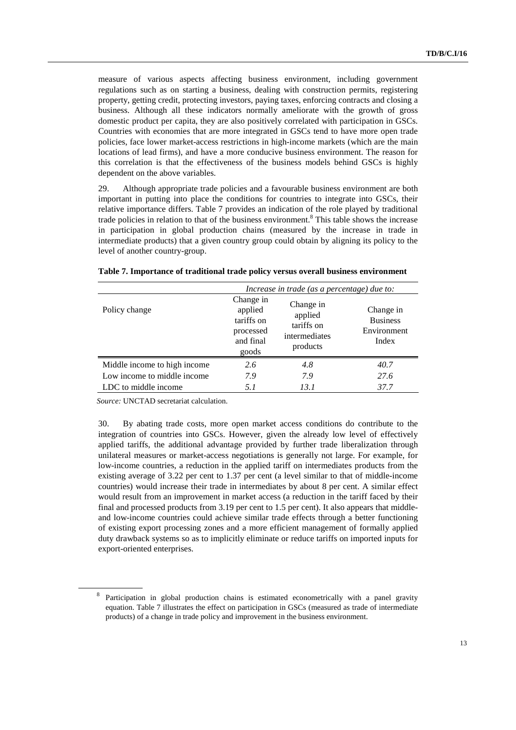measure of various aspects affecting business environment, including government regulations such as on starting a business, dealing with construction permits, registering property, getting credit, protecting investors, paying taxes, enforcing contracts and closing a business. Although all these indicators normally ameliorate with the growth of gross domestic product per capita, they are also positively correlated with participation in GSCs. Countries with economies that are more integrated in GSCs tend to have more open trade policies, face lower market-access restrictions in high-income markets (which are the main locations of lead firms), and have a more conducive business environment. The reason for this correlation is that the effectiveness of the business models behind GSCs is highly dependent on the above variables.

29. Although appropriate trade policies and a favourable business environment are both important in putting into place the conditions for countries to integrate into GSCs, their relative importance differs. Table 7 provides an indication of the role played by traditional trade policies in relation to that of the business environment.<sup>8</sup> This table shows the increase in participation in global production chains (measured by the increase in trade in intermediate products) that a given country group could obtain by aligning its policy to the level of another country-group.

|                              | Increase in trade (as a percentage) due to:                           |                                                                 |                                                      |  |  |
|------------------------------|-----------------------------------------------------------------------|-----------------------------------------------------------------|------------------------------------------------------|--|--|
| Policy change                | Change in<br>applied<br>tariffs on<br>processed<br>and final<br>goods | Change in<br>applied<br>tariffs on<br>intermediates<br>products | Change in<br><b>Business</b><br>Environment<br>Index |  |  |
| Middle income to high income | 2.6                                                                   | 4.8                                                             | 40.7                                                 |  |  |
| Low income to middle income  | 7.9                                                                   | 7.9                                                             | 27.6                                                 |  |  |
| LDC to middle income         | 5.1                                                                   | 13.1                                                            | 37.7                                                 |  |  |

#### **Table 7. Importance of traditional trade policy versus overall business environment**

*Source:* UNCTAD secretariat calculation.

30. By abating trade costs, more open market access conditions do contribute to the integration of countries into GSCs. However, given the already low level of effectively applied tariffs, the additional advantage provided by further trade liberalization through unilateral measures or market-access negotiations is generally not large. For example, for low-income countries, a reduction in the applied tariff on intermediates products from the existing average of 3.22 per cent to 1.37 per cent (a level similar to that of middle-income countries) would increase their trade in intermediates by about 8 per cent. A similar effect would result from an improvement in market access (a reduction in the tariff faced by their final and processed products from 3.19 per cent to 1.5 per cent). It also appears that middleand low-income countries could achieve similar trade effects through a better functioning of existing export processing zones and a more efficient management of formally applied duty drawback systems so as to implicitly eliminate or reduce tariffs on imported inputs for export-oriented enterprises.

<sup>8</sup> Participation in global production chains is estimated econometrically with a panel gravity equation. Table 7 illustrates the effect on participation in GSCs (measured as trade of intermediate products) of a change in trade policy and improvement in the business environment.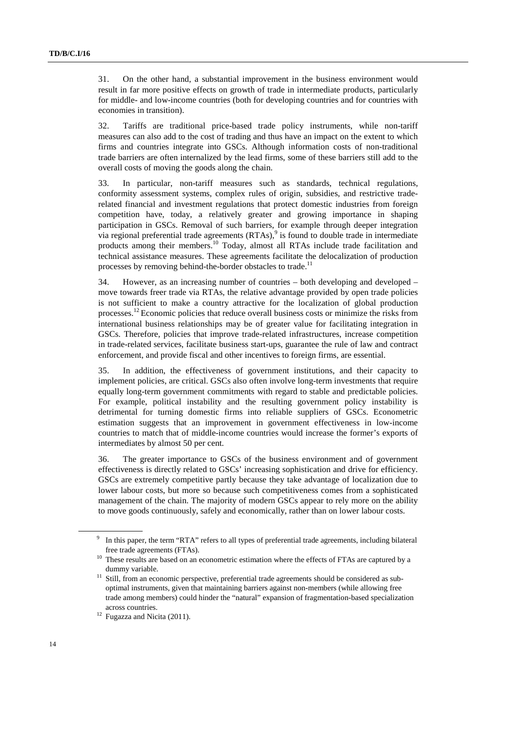31. On the other hand, a substantial improvement in the business environment would result in far more positive effects on growth of trade in intermediate products, particularly for middle- and low-income countries (both for developing countries and for countries with economies in transition).

32. Tariffs are traditional price-based trade policy instruments, while non-tariff measures can also add to the cost of trading and thus have an impact on the extent to which firms and countries integrate into GSCs. Although information costs of non-traditional trade barriers are often internalized by the lead firms, some of these barriers still add to the overall costs of moving the goods along the chain.

33. In particular, non-tariff measures such as standards, technical regulations, conformity assessment systems, complex rules of origin, subsidies, and restrictive traderelated financial and investment regulations that protect domestic industries from foreign competition have, today, a relatively greater and growing importance in shaping participation in GSCs. Removal of such barriers, for example through deeper integration via regional preferential trade agreements  $(RTAs)$ , is found to double trade in intermediate products among their members.10 Today, almost all RTAs include trade facilitation and technical assistance measures. These agreements facilitate the delocalization of production processes by removing behind-the-border obstacles to trade.<sup>11</sup>

34. However, as an increasing number of countries – both developing and developed – move towards freer trade via RTAs, the relative advantage provided by open trade policies is not sufficient to make a country attractive for the localization of global production processes.12 Economic policies that reduce overall business costs or minimize the risks from international business relationships may be of greater value for facilitating integration in GSCs. Therefore, policies that improve trade-related infrastructures, increase competition in trade-related services, facilitate business start-ups, guarantee the rule of law and contract enforcement, and provide fiscal and other incentives to foreign firms, are essential.

35. In addition, the effectiveness of government institutions, and their capacity to implement policies, are critical. GSCs also often involve long-term investments that require equally long-term government commitments with regard to stable and predictable policies. For example, political instability and the resulting government policy instability is detrimental for turning domestic firms into reliable suppliers of GSCs. Econometric estimation suggests that an improvement in government effectiveness in low-income countries to match that of middle-income countries would increase the former's exports of intermediates by almost 50 per cent.

36. The greater importance to GSCs of the business environment and of government effectiveness is directly related to GSCs' increasing sophistication and drive for efficiency. GSCs are extremely competitive partly because they take advantage of localization due to lower labour costs, but more so because such competitiveness comes from a sophisticated management of the chain. The majority of modern GSCs appear to rely more on the ability to move goods continuously, safely and economically, rather than on lower labour costs.

<sup>9</sup> In this paper, the term "RTA" refers to all types of preferential trade agreements, including bilateral

free trade agreements (FTAs).<br><sup>10</sup> These results are based on an econometric estimation where the effects of FTAs are captured by a dummy variable.

<sup>&</sup>lt;sup>11</sup> Still, from an economic perspective, preferential trade agreements should be considered as suboptimal instruments, given that maintaining barriers against non-members (while allowing free trade among members) could hinder the "natural" expansion of fragmentation-based specialization across countries.<br><sup>12</sup> Fugazza and Nicita (2011).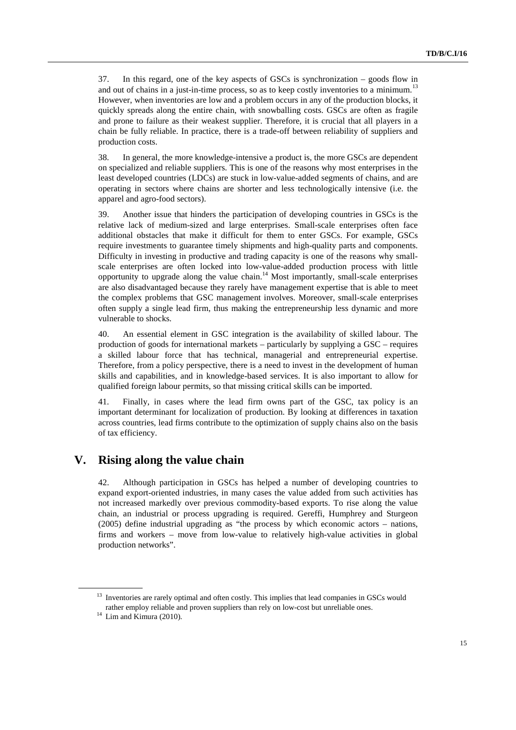37. In this regard, one of the key aspects of GSCs is synchronization – goods flow in and out of chains in a just-in-time process, so as to keep costly inventories to a minimum.<sup>13</sup> However, when inventories are low and a problem occurs in any of the production blocks, it quickly spreads along the entire chain, with snowballing costs. GSCs are often as fragile and prone to failure as their weakest supplier. Therefore, it is crucial that all players in a chain be fully reliable. In practice, there is a trade-off between reliability of suppliers and production costs.

38. In general, the more knowledge-intensive a product is, the more GSCs are dependent on specialized and reliable suppliers. This is one of the reasons why most enterprises in the least developed countries (LDCs) are stuck in low-value-added segments of chains, and are operating in sectors where chains are shorter and less technologically intensive (i.e. the apparel and agro-food sectors).

39. Another issue that hinders the participation of developing countries in GSCs is the relative lack of medium-sized and large enterprises. Small-scale enterprises often face additional obstacles that make it difficult for them to enter GSCs. For example, GSCs require investments to guarantee timely shipments and high-quality parts and components. Difficulty in investing in productive and trading capacity is one of the reasons why smallscale enterprises are often locked into low-value-added production process with little opportunity to upgrade along the value chain.<sup>14</sup> Most importantly, small-scale enterprises are also disadvantaged because they rarely have management expertise that is able to meet the complex problems that GSC management involves. Moreover, small-scale enterprises often supply a single lead firm, thus making the entrepreneurship less dynamic and more vulnerable to shocks.

40. An essential element in GSC integration is the availability of skilled labour. The production of goods for international markets – particularly by supplying a GSC – requires a skilled labour force that has technical, managerial and entrepreneurial expertise. Therefore, from a policy perspective, there is a need to invest in the development of human skills and capabilities, and in knowledge-based services. It is also important to allow for qualified foreign labour permits, so that missing critical skills can be imported.

41. Finally, in cases where the lead firm owns part of the GSC, tax policy is an important determinant for localization of production. By looking at differences in taxation across countries, lead firms contribute to the optimization of supply chains also on the basis of tax efficiency.

## **V. Rising along the value chain**

42. Although participation in GSCs has helped a number of developing countries to expand export-oriented industries, in many cases the value added from such activities has not increased markedly over previous commodity-based exports. To rise along the value chain, an industrial or process upgrading is required. Gereffi, Humphrey and Sturgeon (2005) define industrial upgrading as "the process by which economic actors – nations, firms and workers – move from low-value to relatively high-value activities in global production networks".

<sup>&</sup>lt;sup>13</sup> Inventories are rarely optimal and often costly. This implies that lead companies in GSCs would rather employ reliable and proven suppliers than rely on low-cost but unreliable ones. 14 Lim and Kimura (2010).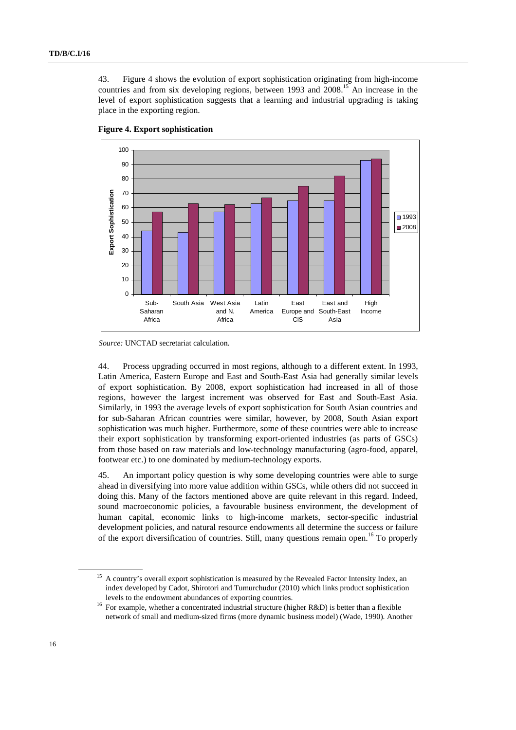43. Figure 4 shows the evolution of export sophistication originating from high-income countries and from six developing regions, between 1993 and 2008.15 An increase in the level of export sophistication suggests that a learning and industrial upgrading is taking place in the exporting region.



**Figure 4. Export sophistication** 

44. Process upgrading occurred in most regions, although to a different extent. In 1993, Latin America, Eastern Europe and East and South-East Asia had generally similar levels of export sophistication. By 2008, export sophistication had increased in all of those regions, however the largest increment was observed for East and South-East Asia. Similarly, in 1993 the average levels of export sophistication for South Asian countries and for sub-Saharan African countries were similar, however, by 2008, South Asian export sophistication was much higher. Furthermore, some of these countries were able to increase their export sophistication by transforming export-oriented industries (as parts of GSCs) from those based on raw materials and low-technology manufacturing (agro-food, apparel, footwear etc.) to one dominated by medium-technology exports.

45. An important policy question is why some developing countries were able to surge ahead in diversifying into more value addition within GSCs, while others did not succeed in doing this. Many of the factors mentioned above are quite relevant in this regard. Indeed, sound macroeconomic policies, a favourable business environment, the development of human capital, economic links to high-income markets, sector-specific industrial development policies, and natural resource endowments all determine the success or failure of the export diversification of countries. Still, many questions remain open.<sup>16</sup> To properly

*Source:* UNCTAD secretariat calculation.

<sup>&</sup>lt;sup>15</sup> A country's overall export sophistication is measured by the Revealed Factor Intensity Index, an index developed by Cadot, Shirotori and Tumurchudur (2010) which links product sophistication

levels to the endowment abundances of exporting countries.<br><sup>16</sup> For example, whether a concentrated industrial structure (higher R&D) is better than a flexible network of small and medium-sized firms (more dynamic business model) (Wade, 1990). Another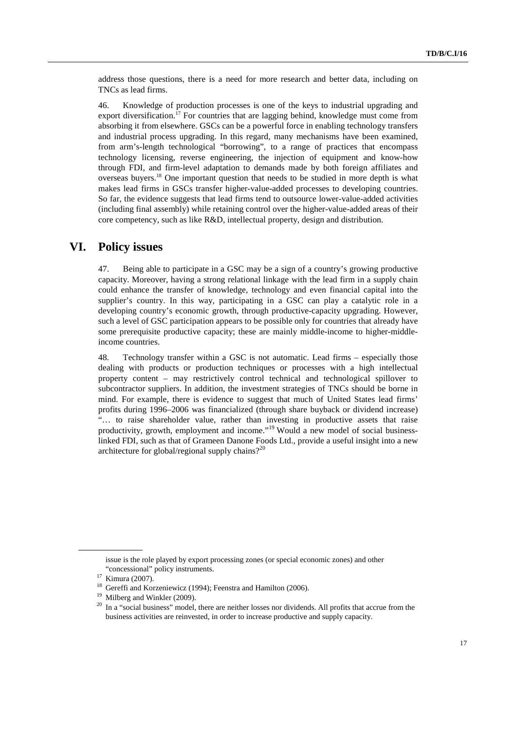address those questions, there is a need for more research and better data, including on TNCs as lead firms.

46. Knowledge of production processes is one of the keys to industrial upgrading and export diversification.<sup>17</sup> For countries that are lagging behind, knowledge must come from absorbing it from elsewhere. GSCs can be a powerful force in enabling technology transfers and industrial process upgrading. In this regard, many mechanisms have been examined, from arm's-length technological "borrowing", to a range of practices that encompass technology licensing, reverse engineering, the injection of equipment and know-how through FDI, and firm-level adaptation to demands made by both foreign affiliates and overseas buyers.18 One important question that needs to be studied in more depth is what makes lead firms in GSCs transfer higher-value-added processes to developing countries. So far, the evidence suggests that lead firms tend to outsource lower-value-added activities (including final assembly) while retaining control over the higher-value-added areas of their core competency, such as like R&D, intellectual property, design and distribution.

### **VI. Policy issues**

47. Being able to participate in a GSC may be a sign of a country's growing productive capacity. Moreover, having a strong relational linkage with the lead firm in a supply chain could enhance the transfer of knowledge, technology and even financial capital into the supplier's country. In this way, participating in a GSC can play a catalytic role in a developing country's economic growth, through productive-capacity upgrading. However, such a level of GSC participation appears to be possible only for countries that already have some prerequisite productive capacity; these are mainly middle-income to higher-middleincome countries.

48. Technology transfer within a GSC is not automatic. Lead firms – especially those dealing with products or production techniques or processes with a high intellectual property content – may restrictively control technical and technological spillover to subcontractor suppliers. In addition, the investment strategies of TNCs should be borne in mind. For example, there is evidence to suggest that much of United States lead firms' profits during 1996–2006 was financialized (through share buyback or dividend increase) "… to raise shareholder value, rather than investing in productive assets that raise productivity, growth, employment and income."<sup>19</sup> Would a new model of social businesslinked FDI, such as that of Grameen Danone Foods Ltd., provide a useful insight into a new architecture for global/regional supply chains?<sup>20</sup>

issue is the role played by export processing zones (or special economic zones) and other "concessional" policy instruments.<br>
<sup>17</sup> Kimura (2007).<br>
<sup>18</sup> Gereffi and Korzeniewicz (1994); Feenstra and Hamilton (2006).<br>
<sup>19</sup> Milberg and Winkler (2009).

 $10<sup>20</sup>$  In a "social business" model, there are neither losses nor dividends. All profits that accrue from the business activities are reinvested, in order to increase productive and supply capacity.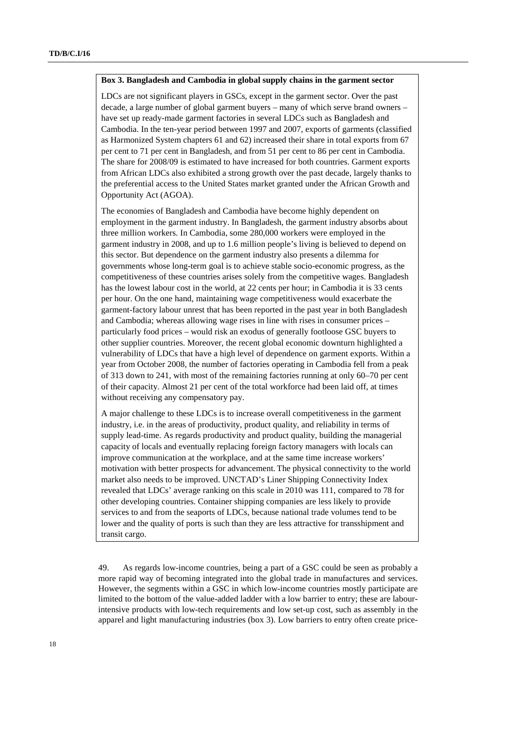#### **Box 3. Bangladesh and Cambodia in global supply chains in the garment sector**

LDCs are not significant players in GSCs, except in the garment sector. Over the past decade, a large number of global garment buyers – many of which serve brand owners – have set up ready-made garment factories in several LDCs such as Bangladesh and Cambodia. In the ten-year period between 1997 and 2007, exports of garments (classified as Harmonized System chapters 61 and 62) increased their share in total exports from 67 per cent to 71 per cent in Bangladesh, and from 51 per cent to 86 per cent in Cambodia. The share for 2008/09 is estimated to have increased for both countries. Garment exports from African LDCs also exhibited a strong growth over the past decade, largely thanks to the preferential access to the United States market granted under the African Growth and Opportunity Act (AGOA).

The economies of Bangladesh and Cambodia have become highly dependent on employment in the garment industry. In Bangladesh, the garment industry absorbs about three million workers. In Cambodia, some 280,000 workers were employed in the garment industry in 2008, and up to 1.6 million people's living is believed to depend on this sector. But dependence on the garment industry also presents a dilemma for governments whose long-term goal is to achieve stable socio-economic progress, as the competitiveness of these countries arises solely from the competitive wages. Bangladesh has the lowest labour cost in the world, at 22 cents per hour; in Cambodia it is 33 cents per hour. On the one hand, maintaining wage competitiveness would exacerbate the garment-factory labour unrest that has been reported in the past year in both Bangladesh and Cambodia; whereas allowing wage rises in line with rises in consumer prices – particularly food prices – would risk an exodus of generally footloose GSC buyers to other supplier countries. Moreover, the recent global economic downturn highlighted a vulnerability of LDCs that have a high level of dependence on garment exports. Within a year from October 2008, the number of factories operating in Cambodia fell from a peak of 313 down to 241, with most of the remaining factories running at only 60–70 per cent of their capacity. Almost 21 per cent of the total workforce had been laid off, at times without receiving any compensatory pay.

A major challenge to these LDCs is to increase overall competitiveness in the garment industry, i.e. in the areas of productivity, product quality, and reliability in terms of supply lead-time. As regards productivity and product quality, building the managerial capacity of locals and eventually replacing foreign factory managers with locals can improve communication at the workplace, and at the same time increase workers' motivation with better prospects for advancement. The physical connectivity to the world market also needs to be improved. UNCTAD's Liner Shipping Connectivity Index revealed that LDCs' average ranking on this scale in 2010 was 111, compared to 78 for other developing countries. Container shipping companies are less likely to provide services to and from the seaports of LDCs, because national trade volumes tend to be lower and the quality of ports is such than they are less attractive for transshipment and transit cargo.

49. As regards low-income countries, being a part of a GSC could be seen as probably a more rapid way of becoming integrated into the global trade in manufactures and services. However, the segments within a GSC in which low-income countries mostly participate are limited to the bottom of the value-added ladder with a low barrier to entry; these are labourintensive products with low-tech requirements and low set-up cost, such as assembly in the apparel and light manufacturing industries (box 3). Low barriers to entry often create price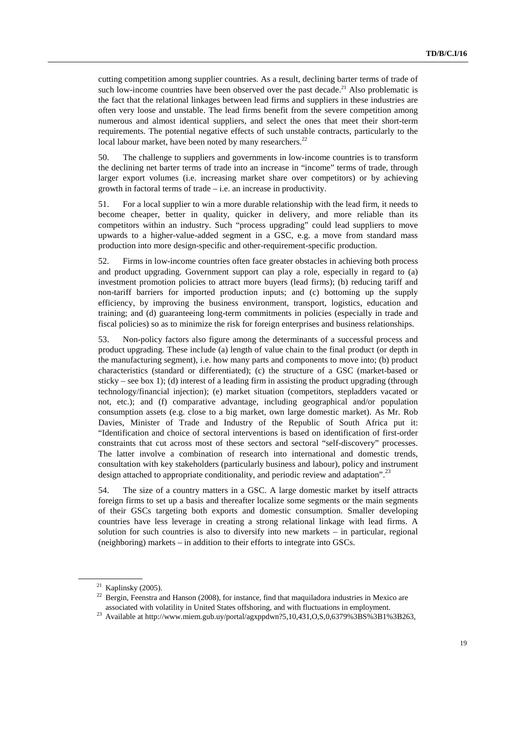cutting competition among supplier countries. As a result, declining barter terms of trade of such low-income countries have been observed over the past decade.<sup>21</sup> Also problematic is the fact that the relational linkages between lead firms and suppliers in these industries are often very loose and unstable. The lead firms benefit from the severe competition among numerous and almost identical suppliers, and select the ones that meet their short-term requirements. The potential negative effects of such unstable contracts, particularly to the local labour market, have been noted by many researchers.<sup>22</sup>

50. The challenge to suppliers and governments in low-income countries is to transform the declining net barter terms of trade into an increase in "income" terms of trade, through larger export volumes (i.e. increasing market share over competitors) or by achieving growth in factoral terms of trade – i.e. an increase in productivity.

51. For a local supplier to win a more durable relationship with the lead firm, it needs to become cheaper, better in quality, quicker in delivery, and more reliable than its competitors within an industry. Such "process upgrading" could lead suppliers to move upwards to a higher-value-added segment in a GSC, e.g. a move from standard mass production into more design-specific and other-requirement-specific production.

52. Firms in low-income countries often face greater obstacles in achieving both process and product upgrading. Government support can play a role, especially in regard to (a) investment promotion policies to attract more buyers (lead firms); (b) reducing tariff and non-tariff barriers for imported production inputs; and (c) bottoming up the supply efficiency, by improving the business environment, transport, logistics, education and training; and (d) guaranteeing long-term commitments in policies (especially in trade and fiscal policies) so as to minimize the risk for foreign enterprises and business relationships.

53. Non-policy factors also figure among the determinants of a successful process and product upgrading. These include (a) length of value chain to the final product (or depth in the manufacturing segment), i.e. how many parts and components to move into; (b) product characteristics (standard or differentiated); (c) the structure of a GSC (market-based or sticky – see box 1); (d) interest of a leading firm in assisting the product upgrading (through technology/financial injection); (e) market situation (competitors, stepladders vacated or not, etc.); and (f) comparative advantage, including geographical and/or population consumption assets (e.g. close to a big market, own large domestic market). As Mr. Rob Davies, Minister of Trade and Industry of the Republic of South Africa put it: "Identification and choice of sectoral interventions is based on identification of first-order constraints that cut across most of these sectors and sectoral "self-discovery" processes. The latter involve a combination of research into international and domestic trends, consultation with key stakeholders (particularly business and labour), policy and instrument design attached to appropriate conditionality, and periodic review and adaptation".<sup>23</sup>

54. The size of a country matters in a GSC. A large domestic market by itself attracts foreign firms to set up a basis and thereafter localize some segments or the main segments of their GSCs targeting both exports and domestic consumption. Smaller developing countries have less leverage in creating a strong relational linkage with lead firms. A solution for such countries is also to diversify into new markets – in particular, regional (neighboring) markets – in addition to their efforts to integrate into GSCs.

<sup>&</sup>lt;sup>21</sup> Kaplinsky (2005).<br><sup>22</sup> Bergin, Feenstra and Hanson (2008), for instance, find that maquiladora industries in Mexico are associated with volatility in United States offshoring, and with fluctuations in employment.<br><sup>23</sup> Available at http://www.miem.gub.uy/portal/agxppdwn?5,10,431,O,S,0,6379%3BS%3B1%3B263,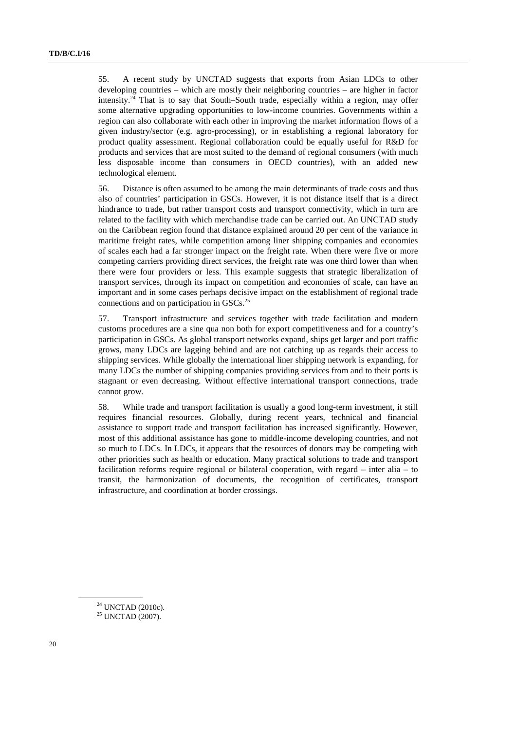55. A recent study by UNCTAD suggests that exports from Asian LDCs to other developing countries – which are mostly their neighboring countries – are higher in factor intensity.<sup>24</sup> That is to say that South–South trade, especially within a region, may offer some alternative upgrading opportunities to low-income countries. Governments within a region can also collaborate with each other in improving the market information flows of a given industry/sector (e.g. agro-processing), or in establishing a regional laboratory for product quality assessment. Regional collaboration could be equally useful for R&D for products and services that are most suited to the demand of regional consumers (with much less disposable income than consumers in OECD countries), with an added new technological element.

56. Distance is often assumed to be among the main determinants of trade costs and thus also of countries' participation in GSCs. However, it is not distance itself that is a direct hindrance to trade, but rather transport costs and transport connectivity, which in turn are related to the facility with which merchandise trade can be carried out. An UNCTAD study on the Caribbean region found that distance explained around 20 per cent of the variance in maritime freight rates, while competition among liner shipping companies and economies of scales each had a far stronger impact on the freight rate. When there were five or more competing carriers providing direct services, the freight rate was one third lower than when there were four providers or less. This example suggests that strategic liberalization of transport services, through its impact on competition and economies of scale, can have an important and in some cases perhaps decisive impact on the establishment of regional trade connections and on participation in GSCs.<sup>25</sup>

57. Transport infrastructure and services together with trade facilitation and modern customs procedures are a sine qua non both for export competitiveness and for a country's participation in GSCs. As global transport networks expand, ships get larger and port traffic grows, many LDCs are lagging behind and are not catching up as regards their access to shipping services. While globally the international liner shipping network is expanding, for many LDCs the number of shipping companies providing services from and to their ports is stagnant or even decreasing. Without effective international transport connections, trade cannot grow.

58. While trade and transport facilitation is usually a good long-term investment, it still requires financial resources. Globally, during recent years, technical and financial assistance to support trade and transport facilitation has increased significantly. However, most of this additional assistance has gone to middle-income developing countries, and not so much to LDCs. In LDCs, it appears that the resources of donors may be competing with other priorities such as health or education. Many practical solutions to trade and transport facilitation reforms require regional or bilateral cooperation, with regard – inter alia – to transit, the harmonization of documents, the recognition of certificates, transport infrastructure, and coordination at border crossings.

<sup>&</sup>lt;sup>24</sup> UNCTAD (2010c).

<sup>&</sup>lt;sup>25</sup> UNCTAD (2007).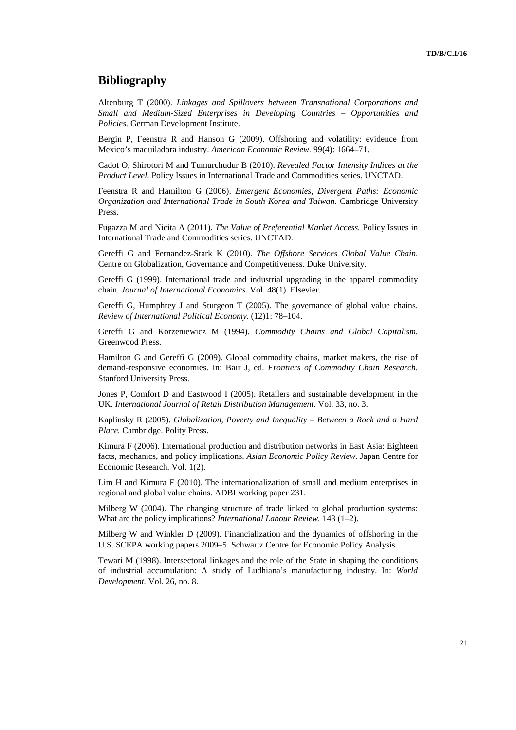### **Bibliography**

Altenburg T (2000). *Linkages and Spillovers between Transnational Corporations and Small and Medium-Sized Enterprises in Developing Countries – Opportunities and Policies.* German Development Institute.

Bergin P, Feenstra R and Hanson G (2009). Offshoring and volatility: evidence from Mexico's maquiladora industry. *American Economic Review.* 99(4): 1664–71.

Cadot O, Shirotori M and Tumurchudur B (2010). *Revealed Factor Intensity Indices at the Product Level*. Policy Issues in International Trade and Commodities series. UNCTAD.

Feenstra R and Hamilton G (2006). *Emergent Economies, Divergent Paths: Economic Organization and International Trade in South Korea and Taiwan.* Cambridge University Press.

Fugazza M and Nicita A (2011). *The Value of Preferential Market Access.* Policy Issues in International Trade and Commodities series. UNCTAD.

Gereffi G and Fernandez-Stark K (2010). *The Offshore Services Global Value Chain.* Centre on Globalization, Governance and Competitiveness. Duke University.

Gereffi G (1999). International trade and industrial upgrading in the apparel commodity chain. *Journal of International Economics.* Vol. 48(1). Elsevier.

Gereffi G, Humphrey J and Sturgeon T (2005). The governance of global value chains. *Review of International Political Economy.* (12)1: 78–104.

Gereffi G and Korzeniewicz M (1994). *Commodity Chains and Global Capitalism.* Greenwood Press.

Hamilton G and Gereffi G (2009). Global commodity chains, market makers, the rise of demand-responsive economies. In: Bair J, ed. *Frontiers of Commodity Chain Research.* Stanford University Press.

Jones P, Comfort D and Eastwood I (2005). Retailers and sustainable development in the UK. *International Journal of Retail Distribution Management.* Vol. 33, no. 3.

Kaplinsky R (2005). *Globalization, Poverty and Inequality – Between a Rock and a Hard Place.* Cambridge. Polity Press.

Kimura F (2006). International production and distribution networks in East Asia: Eighteen facts, mechanics, and policy implications. *Asian Economic Policy Review.* Japan Centre for Economic Research. Vol. 1(2).

Lim H and Kimura F (2010). The internationalization of small and medium enterprises in regional and global value chains. ADBI working paper 231.

Milberg W (2004). The changing structure of trade linked to global production systems: What are the policy implications? *International Labour Review.* 143 (1–2).

Milberg W and Winkler D (2009). Financialization and the dynamics of offshoring in the U.S. SCEPA working papers 2009–5. Schwartz Centre for Economic Policy Analysis.

Tewari M (1998). Intersectoral linkages and the role of the State in shaping the conditions of industrial accumulation: A study of Ludhiana's manufacturing industry. In: *World Development.* Vol. 26, no. 8.